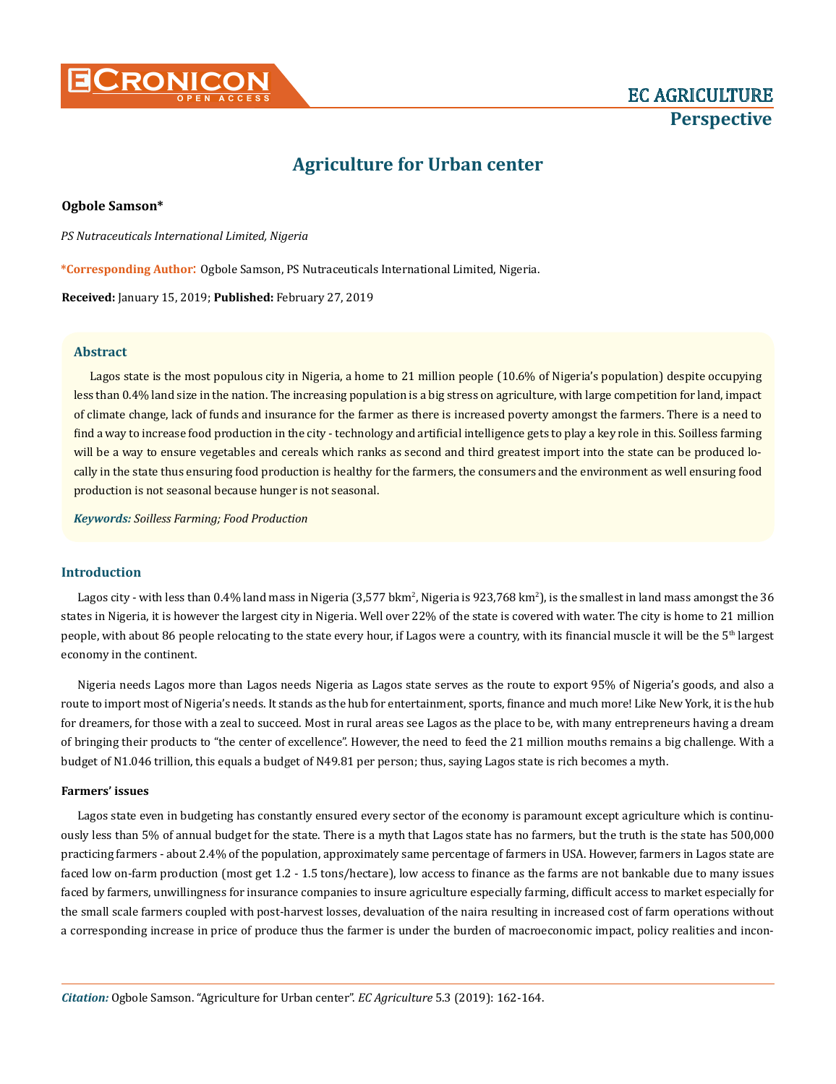

# **Agriculture for Urban center**

# **Ogbole Samson\***

*PS Nutraceuticals International Limited, Nigeria* 

**\*Corresponding Author**: Ogbole Samson, PS Nutraceuticals International Limited, Nigeria.

**Received:** January 15, 2019; **Published:** February 27, 2019

# **Abstract**

Lagos state is the most populous city in Nigeria, a home to 21 million people (10.6% of Nigeria's population) despite occupying less than 0.4% land size in the nation. The increasing population is a big stress on agriculture, with large competition for land, impact of climate change, lack of funds and insurance for the farmer as there is increased poverty amongst the farmers. There is a need to find a way to increase food production in the city - technology and artificial intelligence gets to play a key role in this. Soilless farming will be a way to ensure vegetables and cereals which ranks as second and third greatest import into the state can be produced locally in the state thus ensuring food production is healthy for the farmers, the consumers and the environment as well ensuring food production is not seasonal because hunger is not seasonal.

*Keywords: Soilless Farming; Food Production*

# **Introduction**

Lagos city - with less than  $0.4\%$  land mass in Nigeria (3,577 bkm², Nigeria is 923,768 km²), is the smallest in land mass amongst the 36 states in Nigeria, it is however the largest city in Nigeria. Well over 22% of the state is covered with water. The city is home to 21 million people, with about 86 people relocating to the state every hour, if Lagos were a country, with its financial muscle it will be the  $5<sup>th</sup>$  largest economy in the continent.

Nigeria needs Lagos more than Lagos needs Nigeria as Lagos state serves as the route to export 95% of Nigeria's goods, and also a route to import most of Nigeria's needs. It stands as the hub for entertainment, sports, finance and much more! Like New York, it is the hub for dreamers, for those with a zeal to succeed. Most in rural areas see Lagos as the place to be, with many entrepreneurs having a dream of bringing their products to "the center of excellence". However, the need to feed the 21 million mouths remains a big challenge. With a budget of N1.046 trillion, this equals a budget of N49.81 per person; thus, saying Lagos state is rich becomes a myth.

#### **Farmers' issues**

Lagos state even in budgeting has constantly ensured every sector of the economy is paramount except agriculture which is continuously less than 5% of annual budget for the state. There is a myth that Lagos state has no farmers, but the truth is the state has 500,000 practicing farmers - about 2.4% of the population, approximately same percentage of farmers in USA. However, farmers in Lagos state are faced low on-farm production (most get 1.2 - 1.5 tons/hectare), low access to finance as the farms are not bankable due to many issues faced by farmers, unwillingness for insurance companies to insure agriculture especially farming, difficult access to market especially for the small scale farmers coupled with post-harvest losses, devaluation of the naira resulting in increased cost of farm operations without a corresponding increase in price of produce thus the farmer is under the burden of macroeconomic impact, policy realities and incon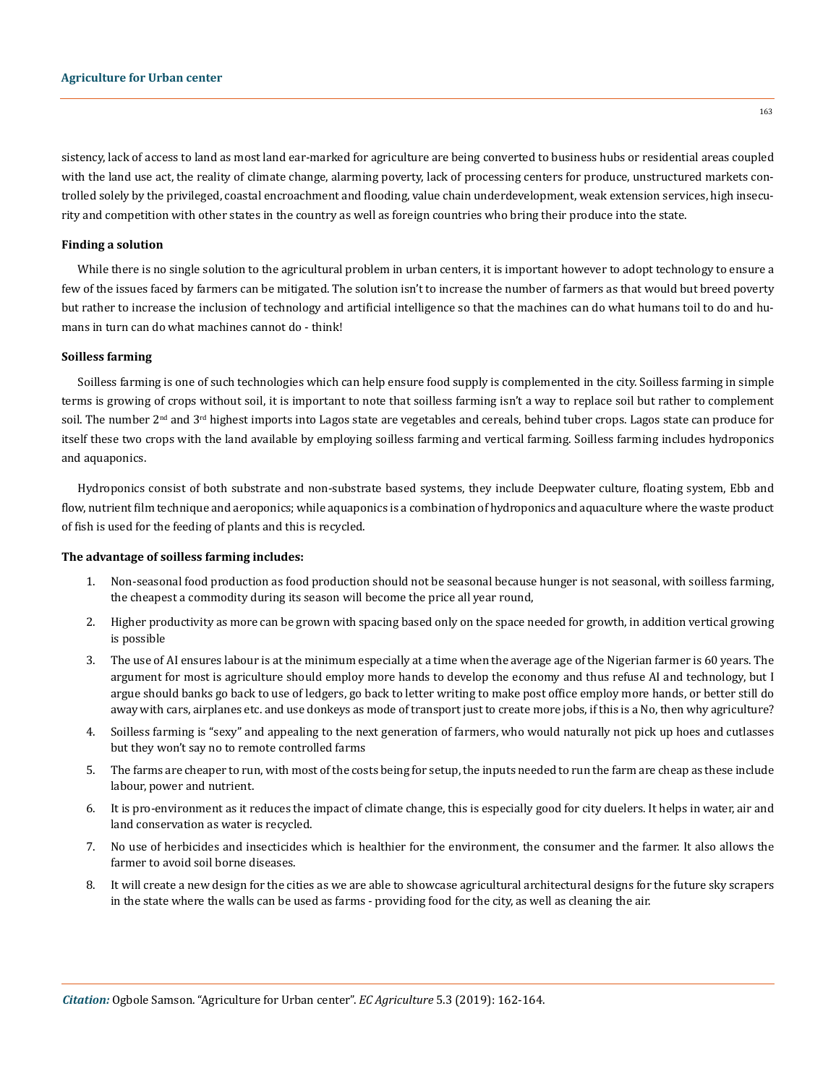sistency, lack of access to land as most land ear-marked for agriculture are being converted to business hubs or residential areas coupled with the land use act, the reality of climate change, alarming poverty, lack of processing centers for produce, unstructured markets controlled solely by the privileged, coastal encroachment and flooding, value chain underdevelopment, weak extension services, high insecurity and competition with other states in the country as well as foreign countries who bring their produce into the state.

#### **Finding a solution**

While there is no single solution to the agricultural problem in urban centers, it is important however to adopt technology to ensure a few of the issues faced by farmers can be mitigated. The solution isn't to increase the number of farmers as that would but breed poverty but rather to increase the inclusion of technology and artificial intelligence so that the machines can do what humans toil to do and humans in turn can do what machines cannot do - think!

### **Soilless farming**

Soilless farming is one of such technologies which can help ensure food supply is complemented in the city. Soilless farming in simple terms is growing of crops without soil, it is important to note that soilless farming isn't a way to replace soil but rather to complement soil. The number 2<sup>nd</sup> and 3<sup>rd</sup> highest imports into Lagos state are vegetables and cereals, behind tuber crops. Lagos state can produce for itself these two crops with the land available by employing soilless farming and vertical farming. Soilless farming includes hydroponics and aquaponics.

Hydroponics consist of both substrate and non-substrate based systems, they include Deepwater culture, floating system, Ebb and flow, nutrient film technique and aeroponics; while aquaponics is a combination of hydroponics and aquaculture where the waste product of fish is used for the feeding of plants and this is recycled.

#### **The advantage of soilless farming includes:**

- 1. Non-seasonal food production as food production should not be seasonal because hunger is not seasonal, with soilless farming, the cheapest a commodity during its season will become the price all year round,
- 2. Higher productivity as more can be grown with spacing based only on the space needed for growth, in addition vertical growing is possible
- 3. The use of AI ensures labour is at the minimum especially at a time when the average age of the Nigerian farmer is 60 years. The argument for most is agriculture should employ more hands to develop the economy and thus refuse AI and technology, but I argue should banks go back to use of ledgers, go back to letter writing to make post office employ more hands, or better still do away with cars, airplanes etc. and use donkeys as mode of transport just to create more jobs, if this is a No, then why agriculture?
- 4. Soilless farming is "sexy" and appealing to the next generation of farmers, who would naturally not pick up hoes and cutlasses but they won't say no to remote controlled farms
- 5. The farms are cheaper to run, with most of the costs being for setup, the inputs needed to run the farm are cheap as these include labour, power and nutrient.
- 6. It is pro-environment as it reduces the impact of climate change, this is especially good for city duelers. It helps in water, air and land conservation as water is recycled.
- 7. No use of herbicides and insecticides which is healthier for the environment, the consumer and the farmer. It also allows the farmer to avoid soil borne diseases.
- 8. It will create a new design for the cities as we are able to showcase agricultural architectural designs for the future sky scrapers in the state where the walls can be used as farms - providing food for the city, as well as cleaning the air.